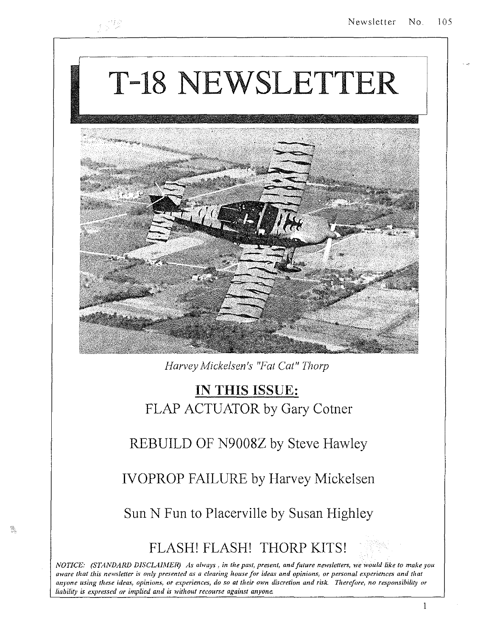# T-18 NEWSLETTER



*Harvey Mickelsen's "Fat Cat" Thorp* 

# IN THIS ISSUE: FLAP ACTUATOR by Gary Cotner

## REBUILD OF N9008Z by Steve Hawley

IVOPROP FAILURE by Harvey Mickelsen

Sun N Fun to Placerville by Susan Highley

鹭

## FLASH! FLASH! THORP KITS!

*NOTICE: (STANDARD DISCLAIMER) As always, in the past, present, and future newsletters, we would like to make you aware that this newsletter is only presented as a clearing house for ideas and opinions, or personal experiences and that*  anyone using these ideas, opinions, or experiences, do so at their own discretion and risk. Therefore, no responsibility or *liability is expressed or implied and is without recourse against anyone*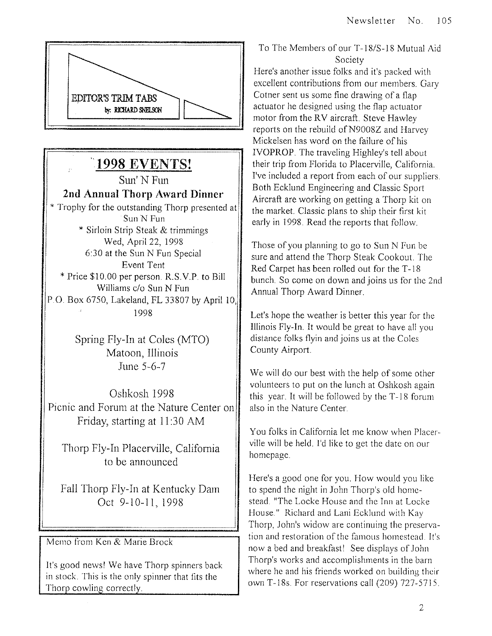

# **'1998 EVENTS!**

Sun'NFun **2nd Annual Thorp Award Dinner**  \* Trophy for the outstanding Thorp presented at Sun N Fun \* Sirloin Strip Steak & trimmings Wed, April 22, 1998 6:30 at the Sun N Fun Special Event Tent • Price \$10.00 per person. R.S.V.P. to Bill Williams c/o Sun N Fun P.O. Box 6750, Lakeland, FL 33807 by April 10, 1995

> Spring Fly-In at Coles (MTO) Matoon, Illinois June 5-6-7

Oshkosh 1998 Picnic and Forum at the Nature Center on Friday, starting at 11 :30 AM

Thorp Fly-In Placerville, California to be announced

Fall Thorp Fly-In at Kentucky Dam Oct 9-10-11, 1998

Memo from Ken & Marie Brock

It's good news! We have Thorp spinners back in stock. This is the only spinner that fits the Thorp cowling correctly.

#### To The Members of our T -IS/S-IS Mutual Aid Society

Here's another issue folks and it's packed with excellent contributions from our members. Gary Cotner sent us some fine drawing of a flap actuator he designed using the flap actuator motor from the RV aircraft. Steve Hawley reports on the rebuild of N9008Z and Harvey Mickelsen has word on the failure of his IVOPROP. The traveling Highley's tell about their trip from Florida to Placerville, California. I've included a report from each of our suppliers. Both Ecklund Engineering and Classic Sport Aircraft are working on getting a Thorp kit on the market. Classic plans to ship their first kit early in 1998. Read the reports that follow.

Those of you planning to go to Sun N Fun be sure and attend the Thorp Steak Cookout. The Red Carpet has been rolled out for the T-18 bunch. So come on down and joins us for the 2nd Annual Thorp Award Dinner.

Let's hope the weather is better this year for the Illinois Fly-In. It would be great to have all you distance folks flyin and joins us at the Coles County Airport.

We will do our best with the help of some other volunteers to put on the lunch at Oshkosh again this year. It will be followed by the T-IS forum also in the Nature Center.

You folks in California let me know when Placerville will be held. I'd like to get the date on our homepage.

Here's a good one for you. How would you like to spend the night in John Thorp's old homestead. "The Locke House and the Inn at Locke House." Richard and Lani Ecklund with Kay Thorp, John's widow are continuing the preservation and restoration of the famous homestead. It's now a bed and breakfast! See displays of John Thorp's works and accomplishments in the barn where he and his friends worked on building their own T-18s. For reservations call (209) 727-5715.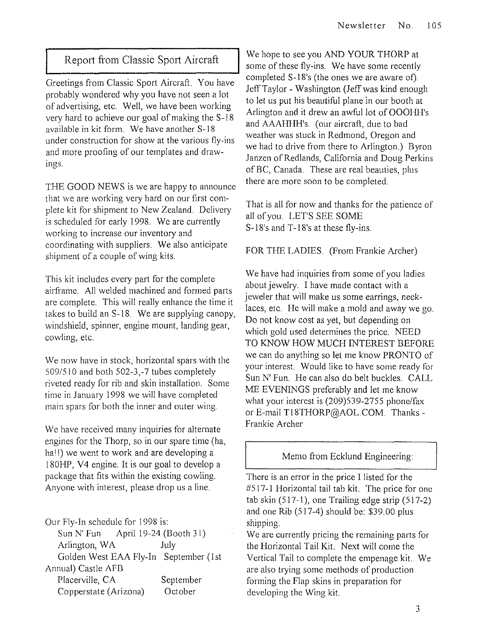#### **I** Report from Classic Sport Aircraft

Greetings from Classic Sport Aircraft. You have probably wondered why you have not seen a lot of advertising, etc. Well, we have been working very hard to achieve our goal of making the S-18 available in kit form. We have another S-18 under construction for show at the various fly-ins and more proofing of our templates and drawings.

THE GOOD NEWS is we are happy to announce that we are working very hard on our first complete kit for shipment to New Zealand. Delivery is scheduled for early 1998. We are currently working to increase our inventory and coordinating with suppliers. We also anticipate shipment of a couple of wing kits.

This kit includes every part for the complete airframe. All welded machined and formed parts are complete. This will really enhance the time it takes to build an S-18. We are supplying canopy, windshield, spinner, engine mount, landing gear, cowling, etc.

We now have in stock, horizontal spars with the 509/510 and both 502-3,-7 tubes completely riveted ready for rib and skin installation. Some time in January 1998 we will have completed main spars for both the inner and outer wing.

We have received many inquiries for alternate engines for the Thorp, so in our spare time (ha, hall) we went to work and are developing a 180HP, V4 engine. It is our goal to develop a package that fits within the existing cowling. Anyone with interest, please drop us a Ime.

Our Fly-In schedule for 1998 is:

| Sun N' Fun            | April 19-24 (Booth 31)                |
|-----------------------|---------------------------------------|
| Arlington, WA         | July                                  |
|                       | Golden West EAA Fly-In September (1st |
| Annual) Castle AFB    |                                       |
| Placerville, CA       | September                             |
| Copperstate (Arizona) | October                               |

We hope to see you AND YOUR THORP at some of these fly-ins. We have some recently completed S-18's (the ones we are aware of). Jeff Taylor - Washington (Jeff was kind enough to let us put his beautiful plane in our booth at Arlington and it drew an awful lot of OOOHH's and AAAHHH's. (our aircraft, due to bad weather was stuck in Redmond, Oregon and we had to drive from there to Arlington.) Byron Janzen of Redlands, California and Doug Perkins of BC, Canada. These are real beauties, plus there are more soon to be completed.

That is all for now and thanks for the patience of all of you. LET'S SEE SOME S-18's and T-18's at these fly-ins.

#### FOR THE LADIES. (From Frankie Archer)

We have had inquiries from some of you ladies about jewelry. I have made contact with a jeweler that will make us some earrings, necklaces, etc. He will make a mold and away we go. Do not know cost as yet, but depending on which gold used determines the price. NEED TO KNOW HOW MUCH INTEREST BEFORE we can do anything so let me know PRONTO of your interest. Would like to have some ready for Sun N' Fun. He can also do belt buckles. CALL ME EVENINGS preferably and let me know what your interest is (209)539-2755 phone/fax or E-mail T18THORP@AOL.COM. Thanks -Frankie Archer

#### Memo from Ecklund Engineering:

There is an error in the price I listed for the #517-1 Horizontal tail tab kit. The price for one tab skin (517-1), one Trailing edge strip (517-2) and one Rib (517-4) should be: \$39.00 plus shipping.

We are currently pricing the remaining parts for the Horizontal Tail Kit. Next will come the Vertical Tail to complete the empenage kit. We are also trying some methods of production forming the Flap skins in preparation for developing the Wing kit.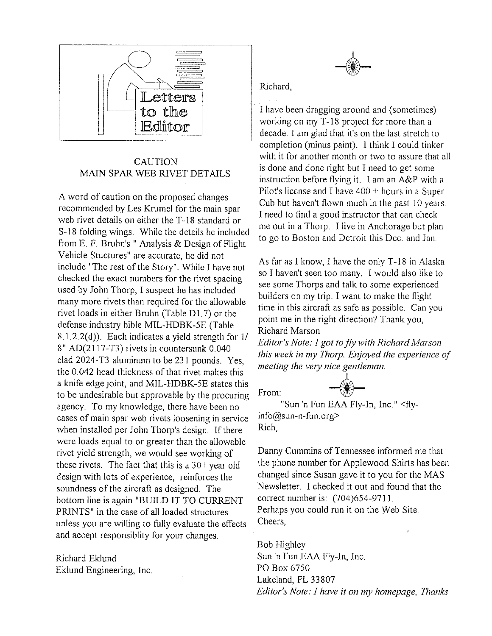

#### CAUTION MAIN SPAR WEB RIVET DETAILS

A word of caution on the proposed changes recommended by Les Krumel for the main spar web rivet details on either the T-18 standard or S-IS folding wings. While the details he included from E. F. Bruhn's" Analysis & Design of Flight Vehicle Stuctures" are accurate, he did not include "The rest of the Story". While I have not checked the exact numbers for the rivet spacing used by John Thorp, I suspect he has included many more rivets than required for the allowable rivet loads in either Bruhn (Table  $D1.7$ ) or the defense industry bible MIL-HDBK-5E (Table S.1.2.2(d)). Each indicates a yield strength for *11*  8" AD(2I 17-T3) rivets in countersunk 0.040 clad 2024-T3 aluminum to be 231 pounds. Yes, the 0.042 head thickness of that rivet makes this a knife edge joint, and MIL-HDBK-5E states this to be undesirable but approvable by the procuring agency. To my knowledge, there have been no cases of main spar web rivets loosening in service when installed per John Thorp's design. If there were loads equal to or greater than the allowable rivet yield strength, we would see working of these rivets. The fact that this is a 30+ year old design with lots of experience, reinforces the soundness of the aircraft as designed. The bottom line is again "BUILD IT TO CURRENT PRINTS" in the case of all loaded structures unless you are willing to fully evaluate the effects and accept responsiblity for your changes.

Richard Eklund Eklund Engineering, Inc.

#### Richard,

I have been dragging around and (sometimes) working on my T-18 project for more than a decade. I am glad that it's on the last stretch to completion (minus paint). I think I could tinker with it for another month or two to assure that all is done and done right but I need to get some instruction before flying it. I am an A&P with a Pilot's license and I have  $400 +$  hours in a Super Cub but haven't flown much in the past 10 years. I need to find a good instructor that can check me out in a Thorp. I live in Anchorage but plan to go to Boston and Detroit this Dec. and Jan.

As far as I know, I have the only T-18 in Alaska so I haven't seen too many. I would also like to see some Thorps and talk to some experienced builders on my trip. I want to make the flight time in this aircraft as safe as possible. Can you point me in the right direction? Thank you, Richard Marson

*Editor's Note:* J *got to fly with Richard Marson this week in my Thorp. Enjoyed the experience of meeting the very nice gentleman.* 

From:  $\begin{matrix} 1 \\ \uparrow \\ \downarrow \end{matrix}$ "Sun 'n Fun EAA Fly-In, Inc." <flyinfo@sun-n-fun.org> Rich,

Danny Cummins of Tennessee informed me that the phone number for Applewood Shirts has been changed since Susan gave it to you for the MAS Newsletter. I checked it out and found that the correct number is: (704)654-9711. Perhaps you could run it on the Web Site. Cheers,

Bob Highley Sun 'n Fun EAA Fly-In, Inc. PO Box 6750 Lakeland, FL 33807 *Editor's Note:* J *have* it *on my homepage, Thanks*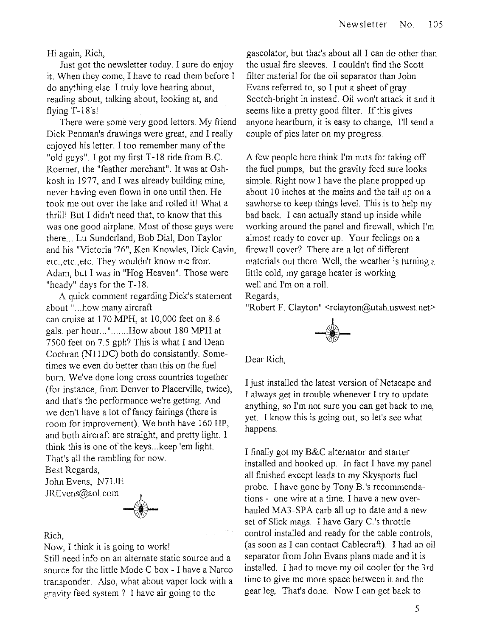Hi again, Rich,

Just got the newsletter today. I sure do enjoy it. When they come, I have to read them before I do anything else. I truly love hearing about, reading about, talking about, looking at, and flying  $T-18's!$ 

There were some very good letters. My friend Dick Penman's drawings were great, and I really enjoyed his letter. I too remember many of the "old guys". I got my first T-18 ride from B.C. Roemer, the "feather merchant". It was at Oshkosh in 1977, and I was already building mine, never having even flown in one until then. He took me out over the lake and rolled itl What a thrilll But I didn't need that, to know that this was one good airplane. Most of those guys were there ... Lu Sunderland, Bob Dial, Don Taylor and his "Victoria '76", Ken Knowles, Dick Cavin, etc.,etc.,etc. They wouldn't know me from Adam, but I was in "Hog Heaven". Those were "heady" days for the T-18.

A quick comment regarding Dick's statement about" ... how many aircraft can cruise at 170 MPH, at 10,000 feet on 8.6 gals. per hour...".......How about 180 MPH at 7500 feet on 7.5 gph? This is what I and Dean Cochran (NllDC) both do consistantly. Sometimes we even do better than this on the fuel burn. We've done long cross countries together (for instance, from Denver to Placerville, twice), and that's the performance we're getting. And we don't have a lot of fancy fairings (there is room for improvement). We both have 160 HP, and both aircraft are straight, and pretty light. I think this is one of the keys ... keep 'em light. That's all the rambling for now.

Best Regards, John Evens, N71JE

JREvcns@aol.com



Rich,

Now, I think it is going to work!

Still need info on an alternate static source and a source for the little Mode C box - I have a Narco transponder. Also, what about vapor lock with a gravity feed system? I have air going to the

gascolator, but that's about all I can do other than the usual fire sleeves. I couldn't find the Scott filter material for the oil separator than John Evans referred to, so I put a sheet of gray Scotch-bright in instead. Oil won't attack it and it seems like a pretty good filter. If this gives anyone heartburn, it is easy to change. I'll send a couple of pics later on my progress.

A few people here think I'm nuts for taking off the fuel pumps, but the gravity feed sure looks simple. Right now I have the plane propped up about 10 inches at the mains and the tail up on a sawhorse to keep things level. This is to help my bad back. I can actually stand up inside while working around the panel and firewall, which I'm almost ready to cover up. Your feelings on a firewall cover? There are a lot of different materials out there. Well, the weather is turning a little cold, my garage heater is working well and I'm on a roll.

Regards,

"Robert F. Clayton" <rclayton@utah.uswest.net>



Dear Rich,

I just installed the latest version of Netscape and I always get in trouble whenever I try to update anything, so I'm not sure you can get back to me, yet. I know this is going out, so let's see what happens.

I finally got my B&C alternator and starter installed and hooked up. **In** fact I have my panel all finished except leads to my Skysports fuel probe. I have gone by Tony B.'s recommendations - one wire at a time. I have a new overhauled MA3-SPA carb all up to date and a new set of Slick mags. I have Gary C.'s throttle control installed and ready for the cable controls, (as soon as I can contact Cablecraft). I had an oil separator from John Evans plans made and it is installed. I had to move my oil cooler for the 3rd time to give me more space between it and the gear leg. That's done. Now I can get back to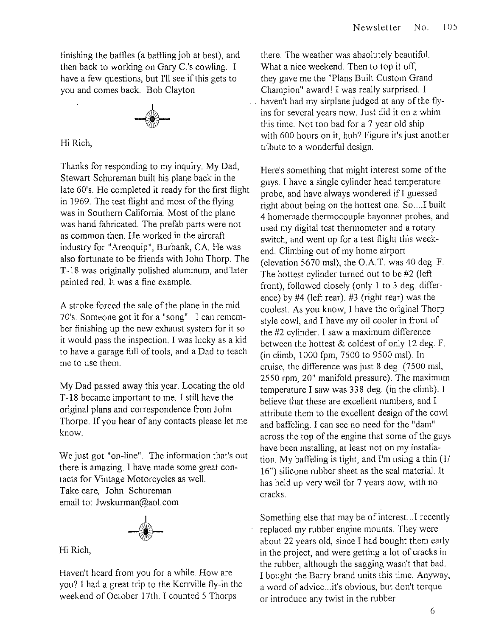finishing the baffles (a baffling job at best), and then back to working on Gary C.'s cowling. I have a few questions, but I'll see if this gets to you and comes back. Bob Clayton



Hi Rich,

Thanks for responding to my inquiry. My Dad, Stewart Schureman built his plane back in the late 60's. He completed it ready for the first flight in 1969. The test flight and most of the flying was in Southern California. Most of the plane was hand fabricated. The prefab parts were not as common then. He worked in the aircraft industry for "Areoquip", Burbank, CA. He was also fortunate to be friends with John Thorp. The T -18 was originally polished aluminum, and 'later painted red. It was a fine example.

A stroke forced the sale of the plane in the mid 70's. Someone got it for a "song". I can remember finishing up the new exhaust system for it so it would pass the inspection. I was lucky as a kid to have a garage full of tools, and a Dad to teach me to use them.

My Dad passed away this year. Locating the old T-18 became important to me. I still have the original plans and correspondence from John Thorpe. If you hear of any contacts please let me know.

We just got "on-line". The information that's out there is amazing. I have made some great contacts for Vintage Motorcycles as well. Take care, John Schureman email to: Jwskurman@aol.com



Hi Rich,

Haven't heard from you for a while. How are you? I had a great trip to the Kerrville fly-in the weekend of October 17th. I counted 5 Thorps

there. The weather was absolutely beautiful. What a nice weekend. Then to top it off, they gave me the "Plans Built Custom Grand Champion" award! I was really surprised. I haven't had my airplane judged at any of the flyins for several years now. Just did it on a whim this time. Not too bad for a 7 year old ship with 600 hours on it, huh? Figure it's just another tribute to a wonderful design.

Here's something that might interest some of the guys. I have a single cylinder head temperature probe, and have always wondered ifI guessed right about being on the hottest one. So....I built 4 homemade thermocouple bayonnet probes, and used my digital test thermometer and a rotary switch, and went up for a test flight this weekend. Climbing out of my home airport (elevation 5670 msl), the  $O.A.T.$  was 40 deg. F. The hottest cylinder turned out to be #2 (left front), followed closely (only 1 to 3 deg. difference) by #4 (left rear). #3 (right rear) was the coolest. As you know, I have the original Thorp style cowl, and I have my oil cooler in front of the #2 cylinder. I saw a maximum difference between the hottest & coldest of only 12 deg. F. (in climb, 1000 fpm, 7500 to 9500 msl). In cruise, the difference was just 8 deg. (7500 msl, 2550 rpm, 20" manifold pressure). The maximum temperature I saw was 338 deg. (in the climb). I believe that these are excellent numbers, and I attribute them to the excellent design of the cowl and baffeling. I can see no need for the "dam" across the top of the engine that some of the guys have been installing, at least not on my installation. My baffeling is tight, and I'm using a thin (1/ 16") silicone rubber sheet as the seal material. It has held up very well for 7 years now, with no cracks.

Something else that may be of interest...I recently replaced my rubber engine mounts. They were about 22 years old, since I had bought them early in the project, and were getting a lot of cracks in the rubber, although the sagging wasn't that bad. I bought the Barry brand units this time. Anyway, a word of advice ... it's obvious, but don't torque or introduce any twist in the rubber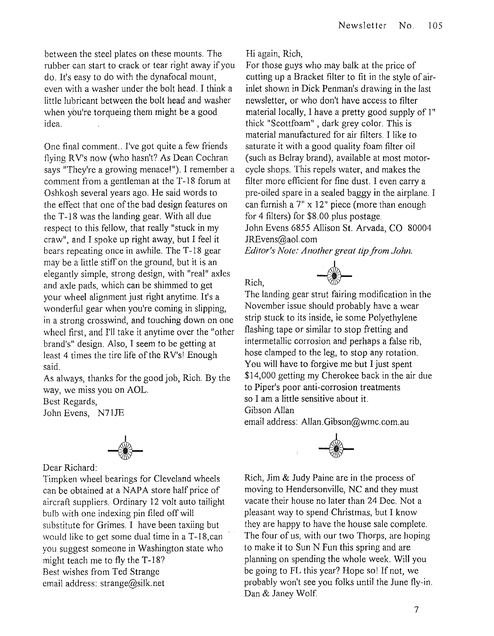between the steel plates on these mounts. The mbber can start to crack or tear right away if you do. It's easy to do with the dynafocal mount, even with a washer under the bolt head. I think a little lubricant between the bolt head and washer when you're torqueing them might be a good idea.

One final comment.. I've got quite a few friends flying RV's now (who hasn't? As Dean Cochran says "They're a growing menace!"). I remember a comment from a gentleman at the T-18 forum at Oshkosh several years ago. He said words to the effect that one of the bad design features on the T-18 was the landing gear. With all due respect to this fellow, that really "stuck in my craw", and I spoke up right away, but I feel it bears repeating once in awhile. The T-18 gear may be a little stiff on the ground, but it is an elegantly simple, strong design, with "real" axles and axle pads, which can be shimmed to get your wheel alignment just right anytime. It's a wonderful gear when you're coming in slipping, in a strong crosswind, and touching down on one wheel first, and I'll take it anytime over the "other brand's" design. Also, I seem to be getting at least 4 times the tire life of the RV'sl Enough said.

As always, thanks for the good job, Rich. By the way, we miss you on AOL.

Best Regards,

John Evens, N71JE



Dear Richard:

Timpken wheel bearings for Cleveland wheels can be obtained at a NAPA store half price of aircraft suppliers. Ordinary 12 volt auto tailight bulb with one indexing pin filed off will substitute for Grimes. I have been taxiing but would like to get some dual time in a T-18,can you suggest someone in Washington state who might teach me to fly the T-18? Best wishes from Ted Strange email address: strange@silk.net

Hi again, Rich,

Rich,

For those guys who may balk at the price of cutting up a Bracket filter to fit in the style of airinlet shown in Dick Penman's drawing in the last newsletter, or who don't have access to filter material locally, I have a pretty good supply of 1" thick "Scottfoam" , dark grey color. This is material manufactured for air filters. I like to saturate it with a good quality foam filter oil (such as Belray brand), available at most motorcycle shops. This repels water, and makes the filter more efficient for fine dust. I even carry a pre-oiled spare in a sealed baggy in the airplane. I can furnish a 7" x 12" piece (more than enough for 4 filters) for \$8.00 plus postage. John Evens 6855 Allison St. Arvada, CO 80004 lREvens@ao1.com *Editor's Note: Another great tip from John.* 



The landing gear strut fairing modification in the November issue should probably have a wear strip stuck to its inside, ie some Polyethylene flashing tape or similar to stop fretting and intermetallic corrosion and perhaps a false rib, hose clamped to the leg, to stop any rotation. You will have to forgive me but I just spent \$14,000 getting my Cherokee back in the air due to Piper's poor anti-corrosion treatments so I am a little sensitive about it. Gibson Allan

email address: Allan.Gibson@wmc.com.au



Rich, Jim & Judy Paine are in the process of moving to Hendersonville, NC and they must vacate their house no later than 24 Dec. Not a pleasant way to spend Christmas, but I know they are happy to have the house sale complete. The four of us, with our two Thorps, are hoping to make it to Sun N Fun this spring and are planning on spending the whole week. Will you be going to **FL** this year? Hope so! If not, we probably won't see you folks until the June fly-in. Dan & Janey Wolf.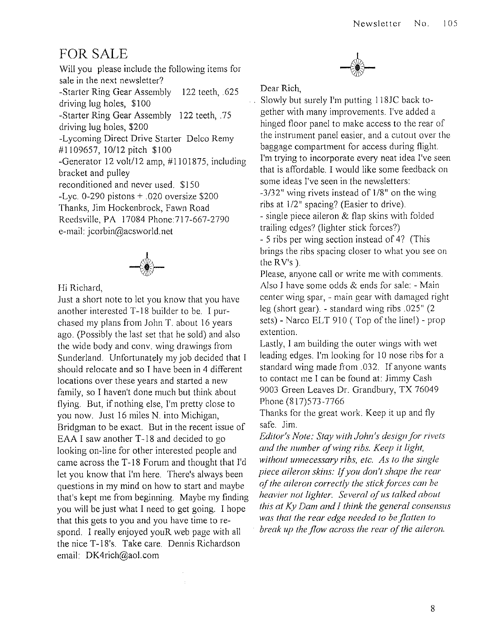### FOR SALE

Will you please include the following items for sale in the next newsletter? -Starter Ring Gear Assembly 122 teeth, .625 driving lug holes, \$100 -Starter Ring Gear Assembly 122 teeth, .75 driving lug holes, \$200 -Lycoming Direct Drive Starter Delco Remy #1109657,10/12 pitch \$100 -Generator 12 volt/12 amp, #1101875, including bracket and pulley reconditioned and never used. \$150 -Lyc. 0-290 pistons + .020 oversize \$200 Thanks, Jim Hockenbrock, Fawn Road Reedsville, PA 17084 Phone: 717-667-2790 e-mail: jcorbin@acsworld.net



Hi Richard,

Just a short note to let you know that you have another interested T -18 builder to be. I purchased my plans from John T. about 16 years ago. (Possibly the last set that he sold) and also the wide body and conv. wing drawings from Sunderland. Unfortunately my job decided that I should relocate and so I have been in 4 different locations over these years and started a new family, so I haven't done much but think about flying. But, if nothing else, I'm pretty close to you now. Just 16 miles N. into Michigan, Bridgman to be exact. But in the recent issue of EAA I saw another T-18 and decided to go looking on-line for other interested people and came across the T -18 Forum and thought that J'd let you know that I'm here. There's always been questions in my mind on how to start and maybe that's kept me from beginning. Maybe my finding you will be just what I need to get going. I hope that this gets to you and you have time to respond. I really enjoyed youR web page with all the nice T-18's. Take care. Dennis Richardson email: DK4rich@aol.com

<sup>I</sup>**-1-**

Dear Rich,

Slowly but surely I'm putting 118JC back together with many improvements. I've added a hinged floor panel to make access to the rear of the instrument panel easier, and a cutout over the baggage compartment for access during flight. I'm trying to incorporate every neat idea I've seen that is affordable. I would like some feedback on some ideas I've seen in the newsletters: *-3/32"* wing rivets instead of *118"* on the wing ribs at 1/2" spacing? (Easier to drive).

- single piece aileron & flap skins with folded trailing edges? (lighter stick forces?) - 5 ribs per wing section instead of 4? (This

brings the ribs spacing closer to what you see on the  $RV's$ ).

Please, anyone call or write me with comments. Also J have some odds & ends for sale: - Main center wing spar, - main gear with damaged right leg (short gear). - standard wing ribs .025" (2 sets) - Narco ELT 910 (Top of the linel) - prop extention.

Lastly, J am building the outer wings with wet leading edges. I'm looking for 10 nose ribs for a standard wing made from .032. If anyone wants to contact me I can be found at: Jimmy Cash 9003 Green Leaves Dr. Grandbury, TX 76049 Phone (817)573-7766

Thanks for the great work. Keep it up and fly safe. Jim.

*Editor's Note: Stay with John's design for rivets and the number of wing ribs. Keep it light,*  without unnecessary ribs, etc. As to the single *piece aileron skins:* If *you don't shape the rear of the aileron correctly the stick forces can be heavier not lighter. Several of us talked about this at Ky Dam and I think the general consensus was that the rear edge needed to be flallen to break up the flow across the rear of the aileron.*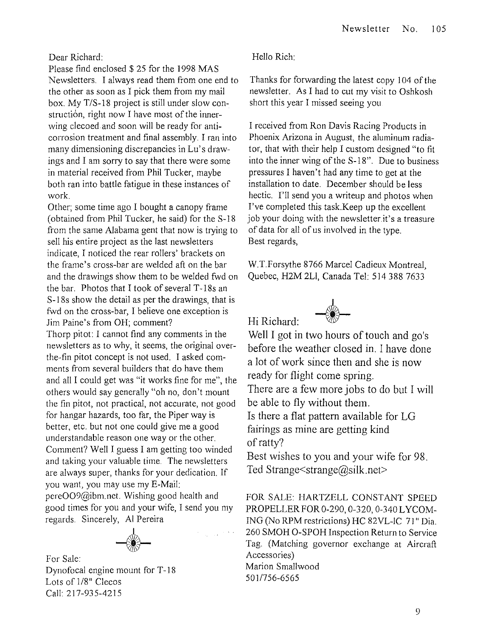#### Dear Richard:

Please find enclosed \$ 25 for the 1998 MAS Newsletters. I always read them from one end to the other as soon as I pick them from my mail box. My *T/S-18* project is still under slow construction, right now I have most of the innerwing clecoed and soon will be ready for anticorrosion treatment and final assembly. I ran into many dimensioning discrepancies in Lu's drawings and I am sorry to say that there were some in material received from Phil Tucker, maybe both ran into battle fatigue in these instances of work.

Other; some time ago I bought a canopy frame (obtained from Phil Tucker, he said) for the S-18 from the same Alabama gent that now is trying to sell his entire project as the last newsletters indicate, I noticed the rear rollers' brackets on the frame's cross-bar are welded aft on the bar and the drawings show them to be welded fwd on the bar. Photos that I took of several T-18s an S-18s show the detail as per the drawings, that is fwd on the cross-bar, I believe one exception is Jim Paine's from OH; comment? Thorp pitot: I cannot find any comments in the newsletters as to why, it seems, the original overthe-fin pitot concept is not used. I asked comments from several builders that do have them and all I could get was "it works fine for me", the others would say generally "oh no, don't mount the fin pitot, not practical, not accurate, not good for hangar hazards, too far, the Piper way is better, etc. but not one could give me a good understandable reason one way or the other. Comment? Well I guess I am getting too winded and taking your valuable time. The newsletters are always super, thanks for your dedication. If you want, you may use my E-Mail: pere009@ibm.net. Wishing good health and good times for you and your wife, I send you my regards. Sincerely, Al Pereira



Dynofocal engine mount for T-18 Lots of 1/8" Clecos Call: 217-935-4215

Hello Rich:

Hi Richard:

Thanks for forwarding the latest copy 104 of the newsletter. As I had to cut my visit to Oshkosh short this year I missed seeing you

I received from Ron Davis Racing Products in Phoenix Arizona in August, the aluminum radiator, that with their help I custom designed "to fit into the inner wing of the S-18". Due to business pressures I haven't had any time to get at the installation to date. December should be less hectic. I'll send you a writeup and photos when I've completed this task.Keep up the excellent job your doing with the newsletter.it's a treasure of data for all of us involved in the type. Best regards,

W.T.Forsythe 8766 Marcel Cadieux Montreal, Quebec, H2M 2Ll, Canada Tel: 5143887633



Well I got in two hours of touch and go's before the weather closed in. I have done a lot of work since then and she is now ready for flight come spring.

There are a few more jobs to do but I will be able to fly without them.

Is there a flat pattern available for LG fairings as mine are getting kind of ratty?

Best wishes to you and your wife for 98. Ted Strange $\leq$ strange $\omega$ silk.net $\geq$ 

FOR SALE: HARTZELL CONSTANT SPEED PROPELLER FOR 0-290, 0-320, 0-340 LYCOM-ING (No RPM restrictions) HC 82VL-IC 71" Dia. 260 SMOH O-SPOH Inspection Return to Service Tag. (Matching governor exchange at Aircraft Accessories) Marion Smallwood *5011756-6565*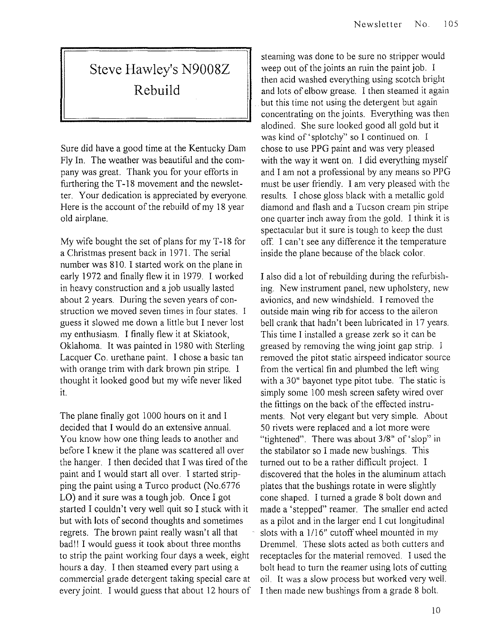# **Steve Hawley's N9008Z Rebuild**

Sure did have a good time at the Kentucky Dam Fly In. The weather was beautiful and the company was great. Thank you for your efforts in furthering the T-18 movement and the newsletter. Your dedication is appreciated by everyone. Here is the account of the rebuild of my 18 year old airplane.

My wife bought the set of plans for my T -18 for a Christmas present back in 1971. The serial number was 810. I started work on the plane in early 1972 and finally flew it in 1979. I worked in heavy construction and a job usually lasted about 2 years. During the seven years of construction we moved seven times in four states. 1 guess it slowed me down a little but I never lost my enthusiasm. I finally flew it at Skiatook, Oklahoma. It was painted in 1980 with Sterling Lacquer Co. urethane paint. I chose a basic tan with orange trim with dark brown pin stripe. I thought it looked good but my wife never liked it.

The plane finally got 1000 hours on it and I decided that I would do an extensive annual. You know how one thing leads to another and before I knew it the plane was scattered all over the hanger. I then decided that I was tired of the paint and I would start all over. I started stripping the paint using a Turco product (No.6776 LO) and it sure was a tough job. Once I got started I couldn't very well quit so I stuck with it but with lots of second thoughts and sometimes regrets. The brown paint really wasn't all that bad!! I would guess it took about three months to strip the paint working four days a week, eight hours a day. I then steamed every part using a commercial grade detergent taking special care at every joint. I would guess that about 12 hours of

steaming was done to be sure no stripper would weep out of the joints an ruin the paint job. I then acid washed everything using scotch bright and lots of elbow grease. I then steamed it again but this time not using the detergent but again concentrating on the joints. Everything was then alodined. She sure looked good all gold but it was kind of' splotchy" so I continued on. I chose to use PPG paint and was very pleased with the way it went on. I did everything myself and I am not a professional by any means so PPG must be user friendly. I am very pleased with the results. I chose gloss black with a metallic gold diamond and flash and a Tucson cream pin stripe one quarter inch away from the gold. I think it is spectacular but it sure is tough to keep the dust off. I can't see any difference it the temperature inside the plane because of the black color.

I also did a lot of rebuilding during the refurbishing. New instrument panel, new upholstery, new avionics, and new windshield. I removed the outside main wing rib for access to the aileron bell crank that hadn't been lubricated in 17 years. This time I installed a grease zerk so it can be greased by removing the wing joint gap strip. I removed the pitot static airspeed indicator source from the vertical fin and plumbed the left wing with a 30" bayonet type pitot tube. The static is simply some 100 mesh screen safety wired over the fittings on the back of the effected instruments. Not very elegant but very simple. About 50 rivets were replaced and a lot more were "tightened". There was about 3/8" of 'slop" in the stabilator so I made new bushings. This turned out to be a rather difficult project. I discovered that the holes in the aluminum attach plates that the bushings rotate in were slightly cone shaped. I turned a grade 8 bolt down and made a 'stepped" reamer. The smaller end acted as a pilot and in the larger end I cut longitudinal slots with a *1116"* cutoff wheel mounted in my Dremmel. These slots acted as both cutters and receptacles for the material removed. I used the bolt head to turn the reamer using lots of cutting oil. It was a slow process but worked very well. I then made new bushings from a grade 8 bolt.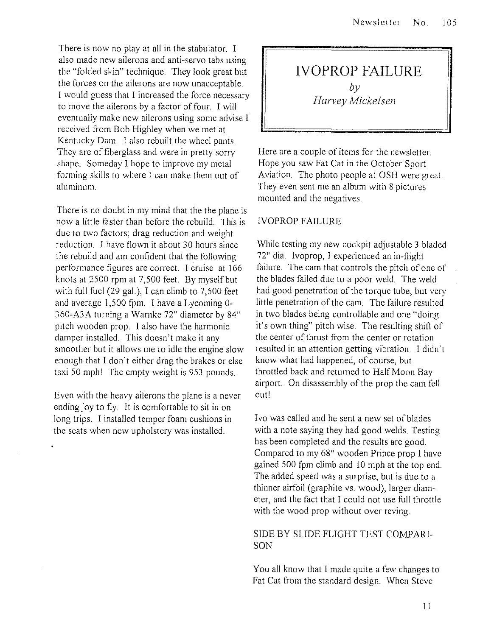There is now no play at all in the stabulator. I also made new ailerons and anti-servo tabs using the "folded skin" technique. They look great but the forces on the ailerons are now unacceptable. I would guess that I increased the force necessary to move the ailerons by a factor of four. I will eventually make new ailerons using some advise I received from Bob Highley when we met at Kentucky Dam. I also rebuilt the wheel pants. They are of fiberglass and were in pretty sorry shape. Someday I hope to improve my metal forming skills to where I can make them out of aluminum.

There is no doubt in my mind that the the plane is now a little faster than before the rebuild. This is due to two factors; drag reduction and weight reduction. I have flown it about 30 hours since the rebuild and am confident that the following performance figures are correct. I cruise at 166 knots at 2500 rpm at 7,500 feet. By myself but with full fuel (29 gal), I can climb to 7,500 feet and average 1,500 fpm. I have a Lycoming 0- 360-A3A turning a Warnke 72" diameter by 84" pitch wooden prop. I also have the harmonic damper installed. This doesn't make it any smoother but it allows me to idle the engine slow enough that I don't either drag the brakes or else taxi 50 mph! The empty weight is 953 pounds.

Even with the heavy ailerons the plane is a never ending joy to fly. It is comfortable to sit in on long trips. I installed temper foam cushions in the seats when new upholstery was installed.

**IVOPROP FAILURE**   $b\nu$ **Harvey** Mickelsen

Here are a couple of items for the newsletter. Hope you saw Fat Cat in the October Sport Aviation. The photo people at OSH were great. They even sent me an album with 8 pictures mounted and the negatives.

#### IVOPROP FAILURE

While testing my new cockpit adjustable 3 bladed 72" dia. Ivoprop, I experienced an in-flight failure. The cam that controls the pitch of one of the blades failed due to a poor weld. The weld had good penetration of the torque tube, but very little penetration of the cam. The failure resulted in two blades being controllable and one "doing it's own thing" pitch wise. The resulting shift of the center of thrust from the center or rotation resulted in an attention getting vibration. I didn't know what had happened, of course, but throttled back and returned to Half Moon Bay airport. On disassembly of the prop the cam fell outl

Ivo was called and he sent a new set of blades with a note saying they had good welds. Testing has been completed and the results are good. Compared to my 68" wooden Prince prop I have gained 500 fpm climb and 10 mph at the top end. The added speed was a surprise, but is due to a thinner airfoil (graphite vs. wood), larger diameter, and the fact that I could not use full throttle with the wood prop without over reving.

#### SIDE BY SLIDE FLIGHT TEST COMPARI-SON

You all know that I made quite a few changes to Fat Cat from the standard design. When Steve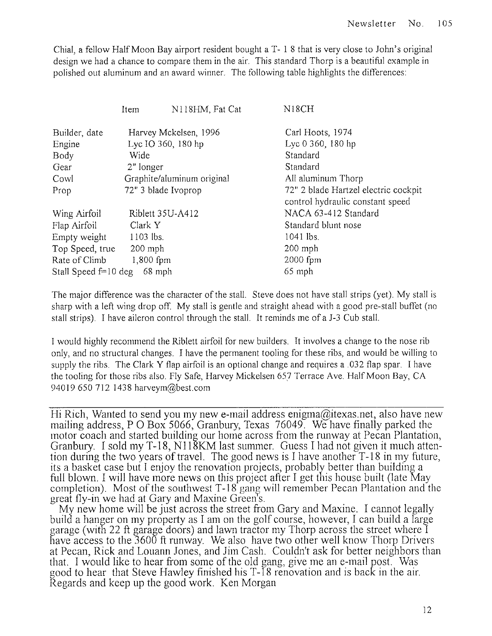Chial, a fellow Half Moon Bay airport resident bought a T- 1 8 that is very close to John's original design we had a chance to compare them in the air. This standard Thorp is a beautiful example in polished out aluminum and an award winner. The following table highlights the differences

|                        | Item                       | N118HM, Fat Cat | N <sub>18</sub> CH                                                       |  |
|------------------------|----------------------------|-----------------|--------------------------------------------------------------------------|--|
| Builder, date          | Harvey Mckelsen, 1996      |                 | Carl Hoots, 1974                                                         |  |
| Engine                 | Lyc IO 360, 180 hp         |                 | Lyc 0 360, 180 hp                                                        |  |
| Body                   | Wide                       |                 | Standard                                                                 |  |
| Gear                   | 2" longer                  |                 | Standard                                                                 |  |
| Cowl                   | Graphite/aluminum original |                 | All aluminum Thorp                                                       |  |
| Prop                   | 72" 3 blade Ivoprop        |                 | 72" 2 blade Hartzel electric cockpit<br>control hydraulic constant speed |  |
| Wing Airfoil           | Riblett 35U-A412           |                 | NACA 63-412 Standard                                                     |  |
| Flap Airfoil           | Clark Y                    |                 | Standard blunt nose                                                      |  |
| Empty weight           | $1103$ lbs.                |                 | 1041 lbs.                                                                |  |
| Top Speed, true        | $200$ mph                  |                 | $200$ mph                                                                |  |
| Rate of Climb          | 1,800 fpm                  |                 | 2000 fpm                                                                 |  |
| Stall Speed $f=10$ deg | 68 mph                     |                 | $65$ mph                                                                 |  |

The major difference was the character of the stall. Steve does not have stall strips (yet). My stall is sharp with a left wing drop off. My stall is gentle and straight ahead with a good pre-stall buffet (no stall strips). I have aileron control through the stall. It reminds me of a J-3 Cub stall.

J would highly recommend the Riblett airfoil for new builders. It involves a change to the nose rib only, and no structural changes. I have the permanent tooling for these ribs, and would be willing to supply the ribs. The Clark Y flap airfoil is an optional change and requires a .032 flap spar. I have the tooling for those ribs also. Fly Safe, Harvey Mickelsen 657 Terrace Ave. Half Moon Bay, CA 940196507121438 harveym@best.com

Hi Rich, Wanted to send you my new e-mail address enigma@itexas.net, also have new mailing address, P O Box 5066, Granbury, Texas 76049. We have finally parked the motor coach and started building our home across from the runway at Pecan Plantation, Granbury. I sold my T-18, N118KM last summer. Guess I had not given it much attention during the two years of travel. The good news is I have another T-18 in my future, its a basket case but I enjoy the renovation projects, probably better than building a full blown. I will have more news on this project after I get this house built (late May completion). Most of the southwest  $T-18$  gang will remember Pecan Plantation and the great fly-in we had at Gary and Maxine Green's.

My new home will be just across the street from Gary and Maxine. I cannot legally build a hanger on my property as I am on the golf course, however, I can build a large garage (with 22 ft garage doors) and lawn tractor my Thorp across the street where I have access to the 3600 ft runway. We also have two other well know Thorp Drivers at Pecan, Rick and Louann Jones, and Jim Cash. Couldn't ask for better neighbors than that. I would like to hear from some of the old gang, give me an e-mail post. Was good to hear that Steve Hawley finished his T -18 renovation and is back in the air. Regards and keep up the good work. Ken Morgan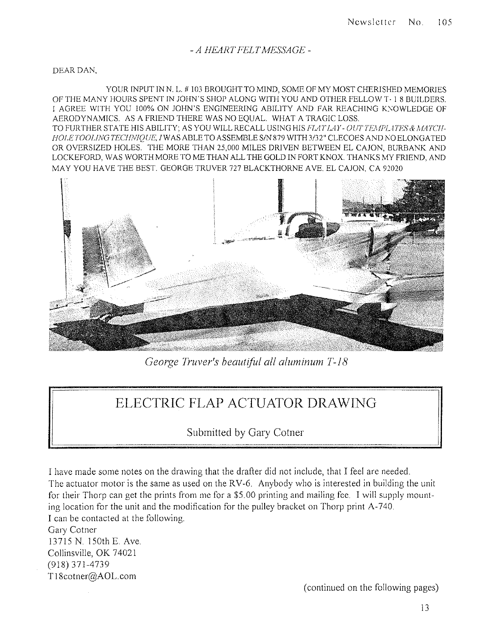#### *- A HEART FELT MESSAGE-*

DEAR DAN,

YOUR INPUT IN N. L. # 103 BROUGHT TO MIND, SOME OF MY MOST CHERISHED MEMORIES OF THE MANY HOURS SPENT IN JOliN'S SHOP ALONG WITH YOU AND OTHER FELLOW T· I 8 BUILDERS. I AGREE WITH YOU 100% ON JOHN'S ENGINEERING ABILITY AND FAR REACHING KNOWLEDGE OF AERODYNAMICS. AS A FRIEND THERE WAS NO EQUAL. WHAT A TRAGIC LOSS. TO FURTHER STATE HIS ABILITY; AS YOU WILL RECALL USING HIS FLAT LAY - OUT TEMPL4TES & MATCH-*HOLETOOLING TECHNIQUE, IWAS ABLE TO ASSEMBLE S/N 879 WITH 3/32" CLECOES AND NO ELONGATED* OR OVERSiZED HOLES. THE MORE THAN 25,000 MILES DRIVEN BETWEEN EL CAJON, BURBANK AND LOCKEFORD, WAS WORTH MORE TO ME THAN ALL THE GOLD IN FORT KNOX THANKS MY FRIEND, AND MAY YOU HAVE THE BEST. GEORGE TRUVER 727 BLACKTHORNE AVE. EL CAJON, CA 92020



*George Truver's beautiful all aluminum T-18* 

## **ELECTRIC FLAP ACTUATOR DRAWING**

Submitted by Gary Cotner

I have made some notes on the drawing that the drafter did not include, that I feel are needed. The actuator motor is the same as used on the RV-6. Anybody who is interested in building the unit for their Thorp can get the prints from me for a \$5.00 printing and mailing fee. I will supply mounting location for the unit and the modification for the pulley bracket on Thorp print A·740. I can be contacted at the following. Gary Cotner 13715 N. 150th E. Ave.

Collinsville, OK 74021 (91S) 371-4739 T lScotner@AOL.com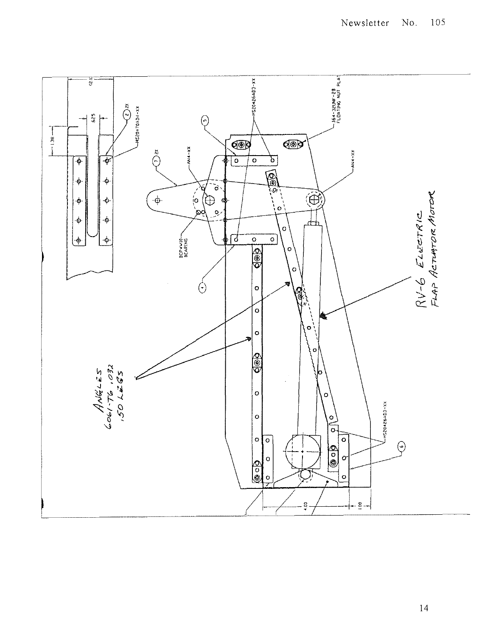

14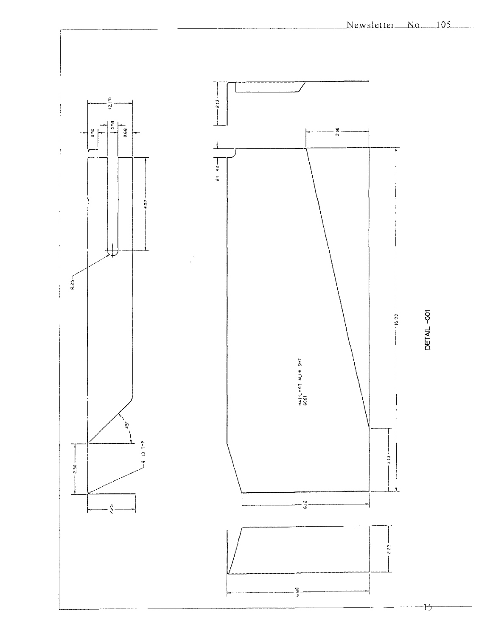

 $+5$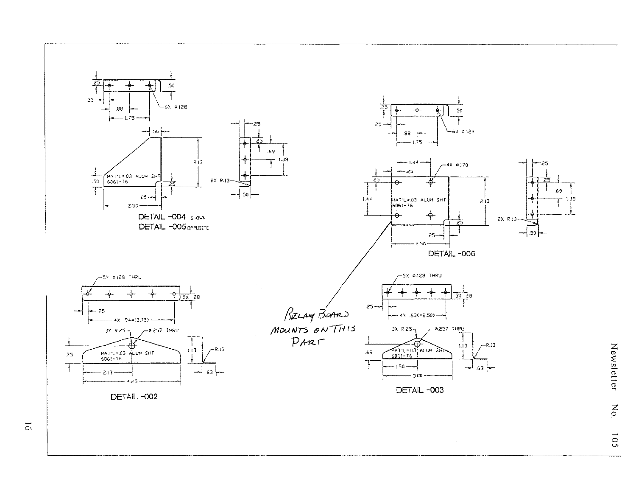

 $\overline{5}$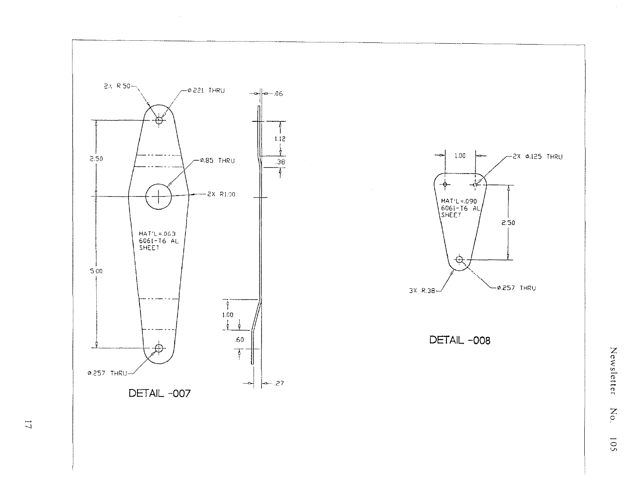

Newsletter  $\rm No.$ 105

 $\Box$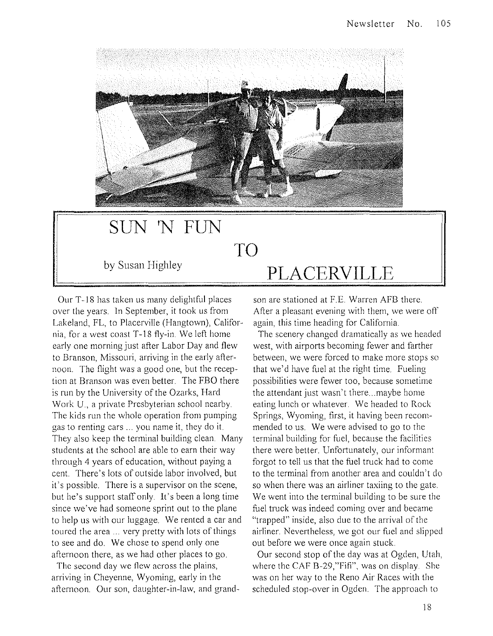

## **SUN 'N FUN TO**  by Susan Highley **PLACERVILLE**

Our T-18 has taken us many delightful places over the years. In September, it took us from Lakeland, FL, to Placerville (Hangtown), California, for a west coast T-18 fly-in. We left home early one morning just after Labor Day and flew to Branson, Missouri, arriving in the early afternoon. The flight was a good one, but the reception at Branson was even better. The FBO there is run by the University of the Ozarks, Hard Work U., a private Presbyterian school nearby. The kids run the whole operation from pumping gas to renting cars ... you name it, they do it. They also keep the terminal building clean. Many students at the school are able to earn their way through 4 years of education, without paying a cent. There's lots of outside labor involved, but it's possible. There is a supervisor on the scene, but he's support staff only. It's been a long time since we've had someone sprint out to the plane to help us with our luggage. We rented a car and toured the area ... very pretty with lots of things to see and do. We chose to spend only one afternoon there, as we had other places to go.

The second day we flew across the plains, arriving in Cheyenne, Wyoming, early in the afternoon. Our son, daughter-in-law, and grandson are stationed at F.E. Warren AFB there. After a pleasant evening with them, we were off again, this time heading for California.

The scenery changed dramatically as we headed west, with airports becoming fewer and farther between, we were forced to make more stops so that we'd have fuel at the right time. Fueling possibilities were fewer too, because sometime the attendant just wasn't there ... maybe home eating lunch or whatever. We headed to Rock Springs, Wyoming, first, it having been recommended to us. We were advised to go to the terminal building for fuel, because the facilities there were better. Unfortunately, our informant forgot to tell us that the fuel truck had to come to the terminal from another area and couldn't do so when there was an airliner taxiing to the gate. We went into the terminal building to be sure the fuel truck was indeed coming over and became "trapped" inside, also due to the arrival of the airliner. Nevertheless, we got our fuel and slipped out before we were once again stuck.

Our second stop of the day was at Ogden, Utah, where the CAF B-29,"Fifi", was on display. She was on her way to the Reno Air Races with the scheduled stop-over in Ogden. The approach to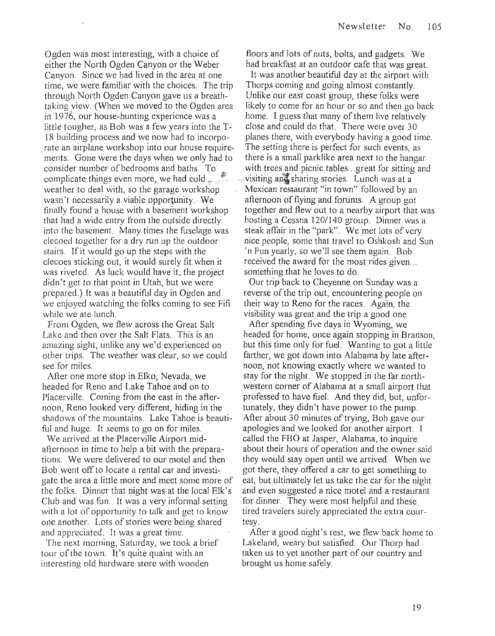Ogden was most interesting, with a choice of either the North Ogden Canyon or the Weber Canyon. Since we had lived in the area at one time, we were familiar with the choices. The trip through North Ogden Canyon gave us a breathtaking view. (When we moved to the Ogden area in 1976, our house-hunting experience was a little tougher, as Bob was a few years into the T-18 building process and we now had to incorporate an airplane workshop into our house requirements. Gone were the days when we only had to consider number of bedrooms and baths. To  $\approx$ complicate things even more, we had cold weather to deal with, so the garage workshop wasn't necessarily a viable opportunity. We finally found a house with a basement workshop that had a widc cntry from the outside directly into the basement. Many times the fuselage was clecoed together for a dry run up the outdoor stairs. Ifit would go up the steps with the clecoes sticking out, it would surely fit when it was riveted. As luck would have it, the project didn't get to that point in Utah, but we were prepared.) It was a beautiful day in Ogden and we enjoyed watching the folks coming to see Fifi while we ate lunch.

From Ogden, we flew across the Great Salt Lake and then over the Salt Flats. This is an amazing sight, unlike any we'd experienced on other trips. The weather was clear, so we could see for miles.

After one more stop in Elko, Nevada, we headed for Reno and Lake Tahoe and on to Placerville. Coming from the east in the afternoon, Reno looked very different, hiding in the shadows of the mountains. Lake Tahoe is beautiful and huge. It seems to go on for miles.

We arrived at the Placerville Airport midafternoon in time to help a bit with the preparations. We were delivered to our motel and then Bob went off to locate a rental car and investigate the area a little more and meet some more of the folks. Dinner that night was at the local Elk's Club and was fun. It was a very informal setting with a lot of opportunity to talk and get to know one another. Lots of stories were being shared and appreciated. It was a great time.

The next morning, Saturday, we took a brief tour of the town. It's quite quaint with an interesting old hardware store with wooden

floors and lots of nuts, bolts, and gadgets. We had breakfast at an outdoor cafe that was great. It was another beautiful day at the airport with Thorps coming and going almost constantly. Unlike our east coast group, these folks were likely to come for an hour or so and then go back home. I guess that many of them live relatively close and could do that. There were over 30 planes there, with everybody having a good time. The setting there is perfect for such events, as there is a small parklike area next to the hangar with trees and picnic tables...great for sitting and visiting and sharing stories. Lunch was at a Mexican restaurant "in town" followed by an afternoon of flying and forums. A group got together and flew out to a nearby airport that was hosting a Cessna 1201140 group. Dinner was a steak affair in the "park". We met lots of very nice people, some that travel to Oshkosh and Sun 'n Fun yearly, so we'll see them again. Bob received the award for the most rides given... something that he loves to do.

Our trip back to Cheyenne on Sunday was a reverse of the trip out, encountering people on their way to Reno for the races. Again, the visibility was great and the trip a good one.

After spending five days in Wyoming, we headed for home, once again stopping in Branson, but this time only for fuel. Wanting to got a little farther, we got down into Alabama by late afternoon, not knowing exactly where we wanted to stay for the night. We stopped in the far northwestern corner of Alabama at a small airport that professed to have fuel. And they did, but, unfortunately, they didn't have power to the pump. After about 30 minutes of trying, Bob gave our apologies and we looked for another airport. I called the FBO at Jasper, Alabama, to inquire about their hours of operation and the owner said they would stay open until we arrived. When we got there, they offered a car to get something to eat, but ultimately let us take the car for the night and even suggested a nice motel and a restaurant for dinner. They were most helpful and these tired travelers surely appreciated the extra courtesy.

After a good night's rest, we flew back home to Lakeland, weary but satisfied. Our Thorp had taken us to yet another part of our country and brought us home safely.